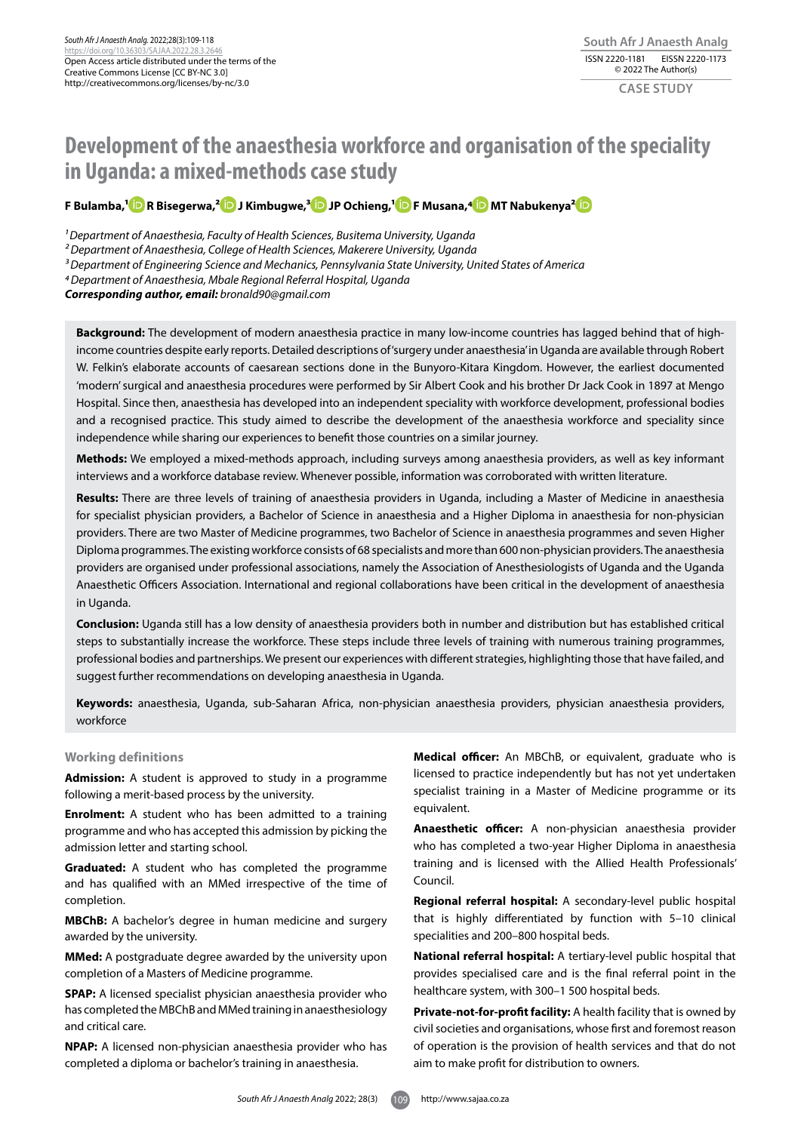# **Development of the anaesthesia workforce and organisation of the speciality in Uganda: a mixed-methods case study**

# **F Bulamba,[1](https://orcid.org/0000-0002-8793-5233) R Bisegerwa,[2](https://orcid.org/0000-0001-6567-1735) J Kimbugwe,[3 J](https://orcid.org/0000-0003-1656-6052)P Ochieng,[1](https://orcid.org/0000-0003-1137-4086 ) F Musana,[4 M](https://orcid.org/0000-0003-1748-2977)T Nabukenya[2](https://orcid.org/0000-0003-3545-6086)**

*1 Department of Anaesthesia, Faculty of Health Sciences, Busitema University, Uganda*

*2 Department of Anaesthesia, College of Health Sciences, Makerere University, Uganda* 

*3 Department of Engineering Science and Mechanics, Pennsylvania State University, United States of America* 

*4 Department of Anaesthesia, Mbale Regional Referral Hospital, Uganda*

*Corresponding author, email: bronald90@gmail.com* 

**Background:** The development of modern anaesthesia practice in many low-income countries has lagged behind that of highincome countries despite early reports. Detailed descriptions of 'surgery under anaesthesia' in Uganda are available through Robert W. Felkin's elaborate accounts of caesarean sections done in the Bunyoro-Kitara Kingdom. However, the earliest documented 'modern' surgical and anaesthesia procedures were performed by Sir Albert Cook and his brother Dr Jack Cook in 1897 at Mengo Hospital. Since then, anaesthesia has developed into an independent speciality with workforce development, professional bodies and a recognised practice. This study aimed to describe the development of the anaesthesia workforce and speciality since independence while sharing our experiences to benefit those countries on a similar journey.

**Methods:** We employed a mixed-methods approach, including surveys among anaesthesia providers, as well as key informant interviews and a workforce database review. Whenever possible, information was corroborated with written literature.

**Results:** There are three levels of training of anaesthesia providers in Uganda, including a Master of Medicine in anaesthesia for specialist physician providers, a Bachelor of Science in anaesthesia and a Higher Diploma in anaesthesia for non-physician providers. There are two Master of Medicine programmes, two Bachelor of Science in anaesthesia programmes and seven Higher Diploma programmes. The existing workforce consists of 68 specialists and more than 600 non-physician providers. The anaesthesia providers are organised under professional associations, namely the Association of Anesthesiologists of Uganda and the Uganda Anaesthetic Officers Association. International and regional collaborations have been critical in the development of anaesthesia in Uganda.

**Conclusion:** Uganda still has a low density of anaesthesia providers both in number and distribution but has established critical steps to substantially increase the workforce. These steps include three levels of training with numerous training programmes, professional bodies and partnerships. We present our experiences with different strategies, highlighting those that have failed, and suggest further recommendations on developing anaesthesia in Uganda.

**Keywords:** anaesthesia, Uganda, sub-Saharan Africa, non-physician anaesthesia providers, physician anaesthesia providers, workforce

#### **Working definitions**

**Admission:** A student is approved to study in a programme following a merit-based process by the university.

**Enrolment:** A student who has been admitted to a training programme and who has accepted this admission by picking the admission letter and starting school.

**Graduated:** A student who has completed the programme and has qualified with an MMed irrespective of the time of completion.

**MBChB:** A bachelor's degree in human medicine and surgery awarded by the university.

**MMed:** A postgraduate degree awarded by the university upon completion of a Masters of Medicine programme.

**SPAP:** A licensed specialist physician anaesthesia provider who has completed the MBChB and MMed training in anaesthesiology and critical care.

**NPAP:** A licensed non-physician anaesthesia provider who has completed a diploma or bachelor's training in anaesthesia.

**Medical officer:** An MBChB, or equivalent, graduate who is licensed to practice independently but has not yet undertaken specialist training in a Master of Medicine programme or its equivalent.

**Anaesthetic officer:** A non-physician anaesthesia provider who has completed a two-year Higher Diploma in anaesthesia training and is licensed with the Allied Health Professionals' Council.

**Regional referral hospital:** A secondary-level public hospital that is highly differentiated by function with 5–10 clinical specialities and 200–800 hospital beds.

**National referral hospital:** A tertiary-level public hospital that provides specialised care and is the final referral point in the healthcare system, with 300–1 500 hospital beds.

**Private-not-for-profit facility:** A health facility that is owned by civil societies and organisations, whose first and foremost reason of operation is the provision of health services and that do not aim to make profit for distribution to owners.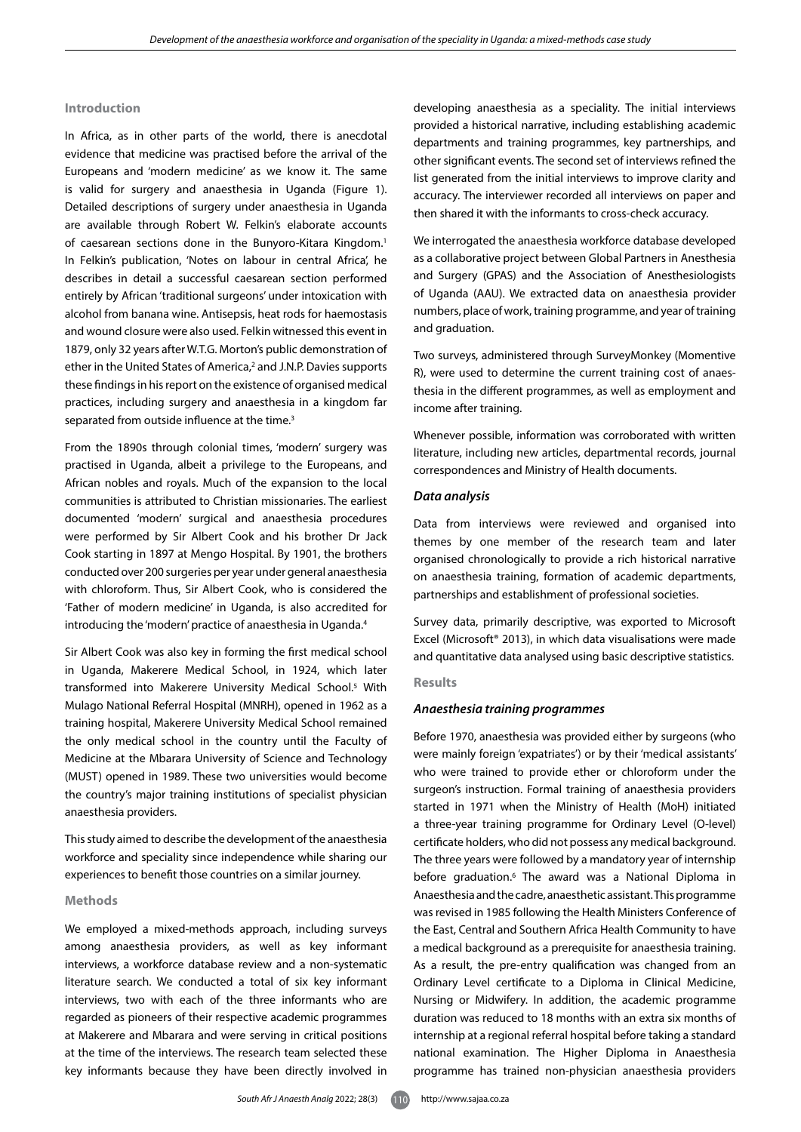# **Introduction**

In Africa, as in other parts of the world, there is anecdotal evidence that medicine was practised before the arrival of the Europeans and 'modern medicine' as we know it. The same is valid for surgery and anaesthesia in Uganda (Figure 1). Detailed descriptions of surgery under anaesthesia in Uganda are available through Robert W. Felkin's elaborate accounts of caesarean sections done in the Bunyoro-Kitara Kingdom.<sup>1</sup> In Felkin's publication, 'Notes on labour in central Africa', he describes in detail a successful caesarean section performed entirely by African 'traditional surgeons' under intoxication with alcohol from banana wine. Antisepsis, heat rods for haemostasis and wound closure were also used. Felkin witnessed this event in 1879, only 32 years after W.T.G. Morton's public demonstration of ether in the United States of America,<sup>2</sup> and J.N.P. Davies supports these findings in his report on the existence of organised medical practices, including surgery and anaesthesia in a kingdom far separated from outside influence at the time.<sup>3</sup>

From the 1890s through colonial times, 'modern' surgery was practised in Uganda, albeit a privilege to the Europeans, and African nobles and royals. Much of the expansion to the local communities is attributed to Christian missionaries. The earliest documented 'modern' surgical and anaesthesia procedures were performed by Sir Albert Cook and his brother Dr Jack Cook starting in 1897 at Mengo Hospital. By 1901, the brothers conducted over 200 surgeries per year under general anaesthesia with chloroform. Thus, Sir Albert Cook, who is considered the 'Father of modern medicine' in Uganda, is also accredited for introducing the 'modern' practice of anaesthesia in Uganda.4

Sir Albert Cook was also key in forming the first medical school in Uganda, Makerere Medical School, in 1924, which later transformed into Makerere University Medical School.5 With Mulago National Referral Hospital (MNRH), opened in 1962 as a training hospital, Makerere University Medical School remained the only medical school in the country until the Faculty of Medicine at the Mbarara University of Science and Technology (MUST) opened in 1989. These two universities would become the country's major training institutions of specialist physician anaesthesia providers.

This study aimed to describe the development of the anaesthesia workforce and speciality since independence while sharing our experiences to benefit those countries on a similar journey.

#### **Methods**

We employed a mixed-methods approach, including surveys among anaesthesia providers, as well as key informant interviews, a workforce database review and a non-systematic literature search. We conducted a total of six key informant interviews, two with each of the three informants who are regarded as pioneers of their respective academic programmes at Makerere and Mbarara and were serving in critical positions at the time of the interviews. The research team selected these key informants because they have been directly involved in

developing anaesthesia as a speciality. The initial interviews provided a historical narrative, including establishing academic departments and training programmes, key partnerships, and other significant events. The second set of interviews refined the list generated from the initial interviews to improve clarity and accuracy. The interviewer recorded all interviews on paper and then shared it with the informants to cross-check accuracy.

We interrogated the anaesthesia workforce database developed as a collaborative project between Global Partners in Anesthesia and Surgery (GPAS) and the Association of Anesthesiologists of Uganda (AAU). We extracted data on anaesthesia provider numbers, place of work, training programme, and year of training and graduation.

Two surveys, administered through SurveyMonkey (Momentive R), were used to determine the current training cost of anaesthesia in the different programmes, as well as employment and income after training.

Whenever possible, information was corroborated with written literature, including new articles, departmental records, journal correspondences and Ministry of Health documents.

# *Data analysis*

Data from interviews were reviewed and organised into themes by one member of the research team and later organised chronologically to provide a rich historical narrative on anaesthesia training, formation of academic departments, partnerships and establishment of professional societies.

Survey data, primarily descriptive, was exported to Microsoft Excel (Microsoft® 2013), in which data visualisations were made and quantitative data analysed using basic descriptive statistics.

#### **Results**

#### *Anaesthesia training programmes*

Before 1970, anaesthesia was provided either by surgeons (who were mainly foreign 'expatriates') or by their 'medical assistants' who were trained to provide ether or chloroform under the surgeon's instruction. Formal training of anaesthesia providers started in 1971 when the Ministry of Health (MoH) initiated a three-year training programme for Ordinary Level (O-level) certificate holders, who did not possess any medical background. The three years were followed by a mandatory year of internship before graduation.<sup>6</sup> The award was a National Diploma in Anaesthesia and the cadre, anaesthetic assistant. This programme was revised in 1985 following the Health Ministers Conference of the East, Central and Southern Africa Health Community to have a medical background as a prerequisite for anaesthesia training. As a result, the pre-entry qualification was changed from an Ordinary Level certificate to a Diploma in Clinical Medicine, Nursing or Midwifery. In addition, the academic programme duration was reduced to 18 months with an extra six months of internship at a regional referral hospital before taking a standard national examination. The Higher Diploma in Anaesthesia programme has trained non-physician anaesthesia providers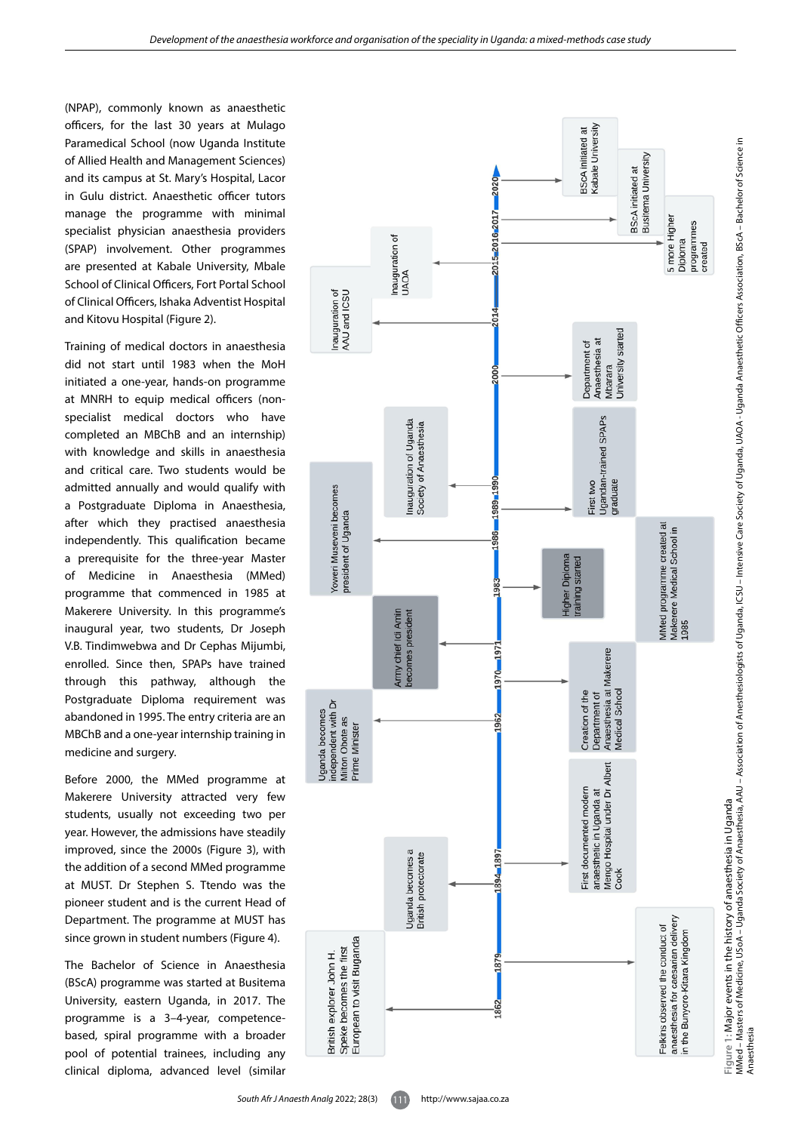(NPAP), commonly known as anaesthetic officers, for the last 30 years at Mulago Paramedical School (now Uganda Institute of Allied Health and Management Sciences) and its campus at St. Mary's Hospital, Lacor in Gulu district. Anaesthetic officer tutors manage the programme with minimal specialist physician anaesthesia providers (SPAP) involvement. Other programmes are presented at Kabale University, Mbale School of Clinical Officers, Fort Portal School of Clinical Officers, Ishaka Adventist Hospital and Kitovu Hospital (Figure 2).

Training of medical doctors in anaesthesia did not start until 1983 when the MoH initiated a one-year, hands-on programme at MNRH to equip medical officers (nonspecialist medical doctors who have completed an MBChB and an internship) with knowledge and skills in anaesthesia and critical care. Two students would be admitted annually and would qualify with a Postgraduate Diploma in Anaesthesia, after which they practised anaesthesia independently. This qualification became a prerequisite for the three-year Master of Medicine in Anaesthesia (MMed) programme that commenced in 1985 at Makerere University. In this programme's inaugural year, two students, Dr Joseph V.B. Tindimwebwa and Dr Cephas Mijumbi, enrolled. Since then, SPAPs have trained through this pathway, although the Postgraduate Diploma requirement was abandoned in 1995. The entry criteria are an MBChB and a one-year internship training in medicine and surgery.

Before 2000, the MMed programme at Makerere University attracted very few students, usually not exceeding two per year. However, the admissions have steadily improved, since the 2000s (Figure 3), with the addition of a second MMed programme at MUST. Dr Stephen S. Ttendo was the pioneer student and is the current Head of Department. The programme at MUST has since grown in student numbers (Figure 4).

The Bachelor of Science in Anaesthesia (BScA) programme was started at Busitema University, eastern Uganda, in 2017. The programme is a 3–4-year, competencebased, spiral programme with a broader pool of potential trainees, including any clinical diploma, advanced level (similar

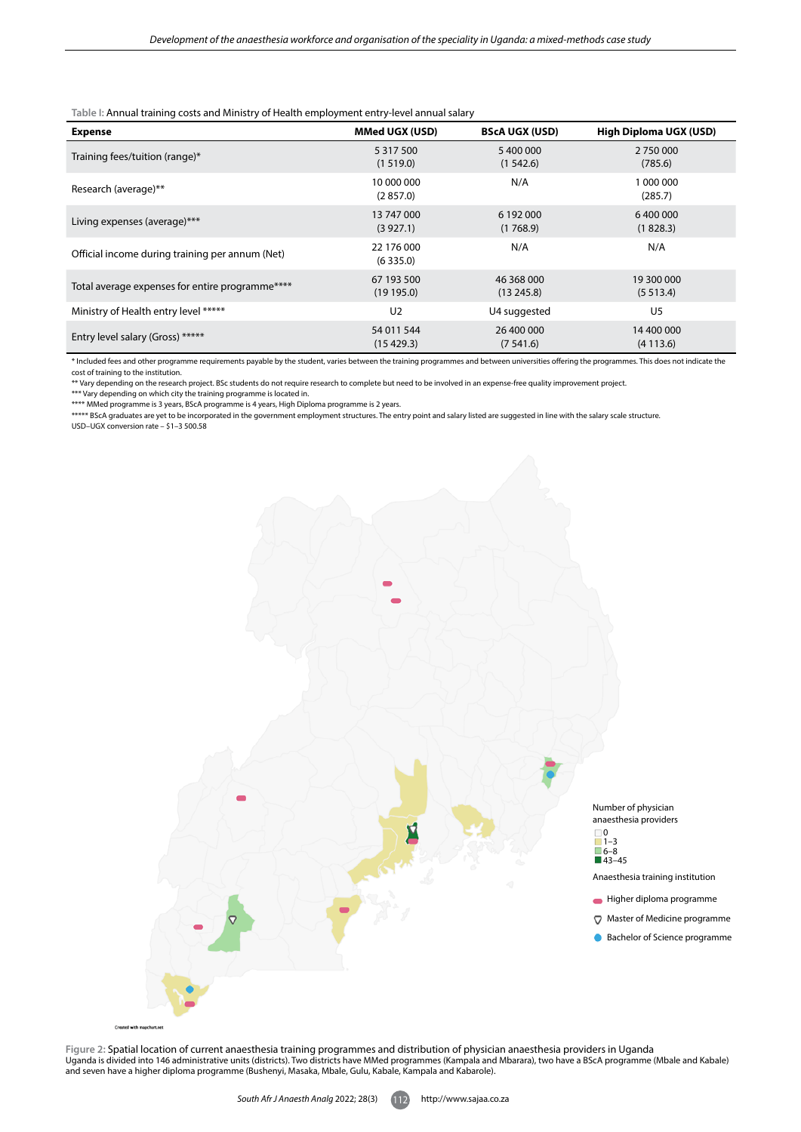**Table I:** Annual training costs and Ministry of Health employment entry-level annual salary

| <b>Expense</b>                                  | <b>MMed UGX (USD)</b>  | <b>BScA UGX (USD)</b> | <b>High Diploma UGX (USD)</b> |
|-------------------------------------------------|------------------------|-----------------------|-------------------------------|
| Training fees/tuition (range)*                  | 5 3 1 7 5 0 0          | 5 400 000             | 2 750 000                     |
|                                                 | (1519.0)               | (1542.6)              | (785.6)                       |
| Research (average)**                            | 10 000 000<br>(2857.0) | N/A                   | 1 000 000<br>(285.7)          |
| Living expenses (average)***                    | 13 747 000             | 6 192 000             | 6400000                       |
|                                                 | (3927.1)               | (1768.9)              | (1828.3)                      |
| Official income during training per annum (Net) | 22 176 000<br>(6335.0) | N/A                   | N/A                           |
| Total average expenses for entire programme**** | 67 193 500             | 46 368 000            | 19 300 000                    |
|                                                 | (19195.0)              | (13245.8)             | (5513.4)                      |
| Ministry of Health entry level *****            | U <sub>2</sub>         | U4 suggested          | U <sub>5</sub>                |
| Entry level salary (Gross) *****                | 54 011 544             | 26 400 000            | 14 400 000                    |
|                                                 | (15429.3)              | (7541.6)              | (4113.6)                      |

\* Included fees and other programme requirements payable by the student, varies between the training programmes and between universities offering the programmes. This does not indicate the

cost of training to the institution. \*\* Vary depending on the research project. BSc students do not require research to complete but need to be involved in an expense-free quality improvement project.

\*\*\* Vary depending on which city the training programme is located in. \*\*\*\* MMed programme is 3 years, BScA programme is 4 years, High Diploma programme is 2 years.

\*\*\*\*\* BScA graduates are yet to be incorporated in the government employment structures. The entry point and salary listed are suggested in line with the salary scale structure. USD–UGX conversion rate – \$1–3 500.58



Figure 2: Spatial location of current anaesthesia training programmes and distribution of physician anaesthesia providers in Uganda<br>Uganda is divided into 146 administrative units (districts). Two districts have MMed progr and seven have a higher diploma programme (Bushenyi, Masaka, Mbale, Gulu, Kabale, Kampala and Kabarole).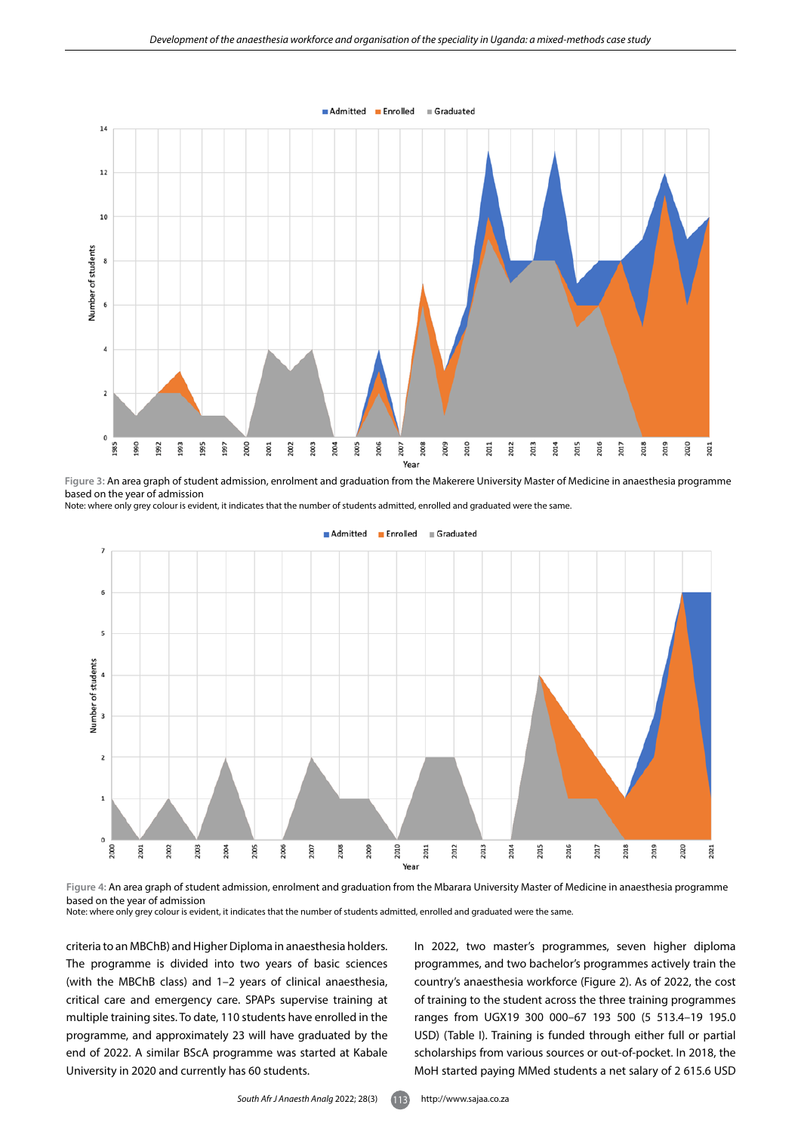

**Figure 3:** An area graph of student admission, enrolment and graduation from the Makerere University Master of Medicine in anaesthesia programme based on the year of admission

Note: where only grey colour is evident, it indicates that the number of students admitted, enrolled and graduated were the same.



# $\blacksquare$  Admitted  $\blacksquare$  Enrolled  $\blacksquare$  Graduated

**Figure 4:** An area graph of student admission, enrolment and graduation from the Mbarara University Master of Medicine in anaesthesia programme based on the year of admission

Note: where only grey colour is evident, it indicates that the number of students admitted, enrolled and graduated were the same.

criteria to an MBChB) and Higher Diploma in anaesthesia holders. The programme is divided into two years of basic sciences (with the MBChB class) and 1–2 years of clinical anaesthesia, critical care and emergency care. SPAPs supervise training at multiple training sites. To date, 110 students have enrolled in the programme, and approximately 23 will have graduated by the end of 2022. A similar BScA programme was started at Kabale University in 2020 and currently has 60 students.

In 2022, two master's programmes, seven higher diploma programmes, and two bachelor's programmes actively train the country's anaesthesia workforce (Figure 2). As of 2022, the cost of training to the student across the three training programmes ranges from UGX19 300 000–67 193 500 (5 513.4–19 195.0 USD) (Table I). Training is funded through either full or partial scholarships from various sources or out-of-pocket. In 2018, the MoH started paying MMed students a net salary of 2 615.6 USD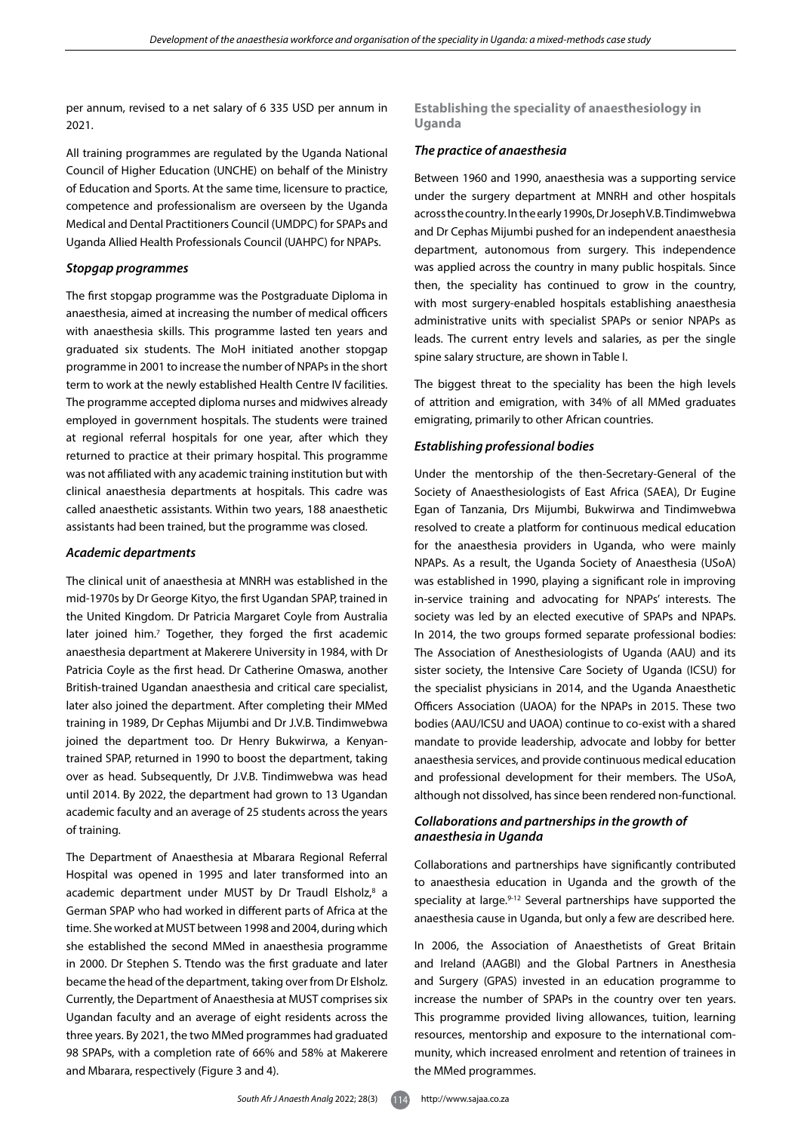per annum, revised to a net salary of 6 335 USD per annum in 2021.

All training programmes are regulated by the Uganda National Council of Higher Education (UNCHE) on behalf of the Ministry of Education and Sports. At the same time, licensure to practice, competence and professionalism are overseen by the Uganda Medical and Dental Practitioners Council (UMDPC) for SPAPs and Uganda Allied Health Professionals Council (UAHPC) for NPAPs.

# *Stopgap programmes*

The first stopgap programme was the Postgraduate Diploma in anaesthesia, aimed at increasing the number of medical officers with anaesthesia skills. This programme lasted ten years and graduated six students. The MoH initiated another stopgap programme in 2001 to increase the number of NPAPs in the short term to work at the newly established Health Centre IV facilities. The programme accepted diploma nurses and midwives already employed in government hospitals. The students were trained at regional referral hospitals for one year, after which they returned to practice at their primary hospital. This programme was not affiliated with any academic training institution but with clinical anaesthesia departments at hospitals. This cadre was called anaesthetic assistants. Within two years, 188 anaesthetic assistants had been trained, but the programme was closed.

# *Academic departments*

The clinical unit of anaesthesia at MNRH was established in the mid-1970s by Dr George Kityo, the first Ugandan SPAP, trained in the United Kingdom. Dr Patricia Margaret Coyle from Australia later joined him.<sup>7</sup> Together, they forged the first academic anaesthesia department at Makerere University in 1984, with Dr Patricia Coyle as the first head. Dr Catherine Omaswa, another British-trained Ugandan anaesthesia and critical care specialist, later also joined the department. After completing their MMed training in 1989, Dr Cephas Mijumbi and Dr J.V.B. Tindimwebwa joined the department too. Dr Henry Bukwirwa, a Kenyantrained SPAP, returned in 1990 to boost the department, taking over as head. Subsequently, Dr J.V.B. Tindimwebwa was head until 2014. By 2022, the department had grown to 13 Ugandan academic faculty and an average of 25 students across the years of training.

The Department of Anaesthesia at Mbarara Regional Referral Hospital was opened in 1995 and later transformed into an academic department under MUST by Dr Traudl Elsholz, $8$  a German SPAP who had worked in different parts of Africa at the time. She worked at MUST between 1998 and 2004, during which she established the second MMed in anaesthesia programme in 2000. Dr Stephen S. Ttendo was the first graduate and later became the head of the department, taking over from Dr Elsholz. Currently, the Department of Anaesthesia at MUST comprises six Ugandan faculty and an average of eight residents across the three years. By 2021, the two MMed programmes had graduated 98 SPAPs, with a completion rate of 66% and 58% at Makerere and Mbarara, respectively (Figure 3 and 4).

**Establishing the speciality of anaesthesiology in Uganda** 

#### *The practice of anaesthesia*

Between 1960 and 1990, anaesthesia was a supporting service under the surgery department at MNRH and other hospitals across the country. In the early 1990s, Dr Joseph V.B. Tindimwebwa and Dr Cephas Mijumbi pushed for an independent anaesthesia department, autonomous from surgery. This independence was applied across the country in many public hospitals. Since then, the speciality has continued to grow in the country, with most surgery-enabled hospitals establishing anaesthesia administrative units with specialist SPAPs or senior NPAPs as leads. The current entry levels and salaries, as per the single spine salary structure, are shown in Table I.

The biggest threat to the speciality has been the high levels of attrition and emigration, with 34% of all MMed graduates emigrating, primarily to other African countries.

# *Establishing professional bodies*

Under the mentorship of the then-Secretary-General of the Society of Anaesthesiologists of East Africa (SAEA), Dr Eugine Egan of Tanzania, Drs Mijumbi, Bukwirwa and Tindimwebwa resolved to create a platform for continuous medical education for the anaesthesia providers in Uganda, who were mainly NPAPs. As a result, the Uganda Society of Anaesthesia (USoA) was established in 1990, playing a significant role in improving in-service training and advocating for NPAPs' interests. The society was led by an elected executive of SPAPs and NPAPs. In 2014, the two groups formed separate professional bodies: The Association of Anesthesiologists of Uganda (AAU) and its sister society, the Intensive Care Society of Uganda (ICSU) for the specialist physicians in 2014, and the Uganda Anaesthetic Officers Association (UAOA) for the NPAPs in 2015. These two bodies (AAU/ICSU and UAOA) continue to co-exist with a shared mandate to provide leadership, advocate and lobby for better anaesthesia services, and provide continuous medical education and professional development for their members. The USoA, although not dissolved, has since been rendered non-functional.

# *Collaborations and partnerships in the growth of anaesthesia in Uganda*

Collaborations and partnerships have significantly contributed to anaesthesia education in Uganda and the growth of the speciality at large.<sup>9-12</sup> Several partnerships have supported the anaesthesia cause in Uganda, but only a few are described here.

In 2006, the Association of Anaesthetists of Great Britain and Ireland (AAGBI) and the Global Partners in Anesthesia and Surgery (GPAS) invested in an education programme to increase the number of SPAPs in the country over ten years. This programme provided living allowances, tuition, learning resources, mentorship and exposure to the international community, which increased enrolment and retention of trainees in the MMed programmes.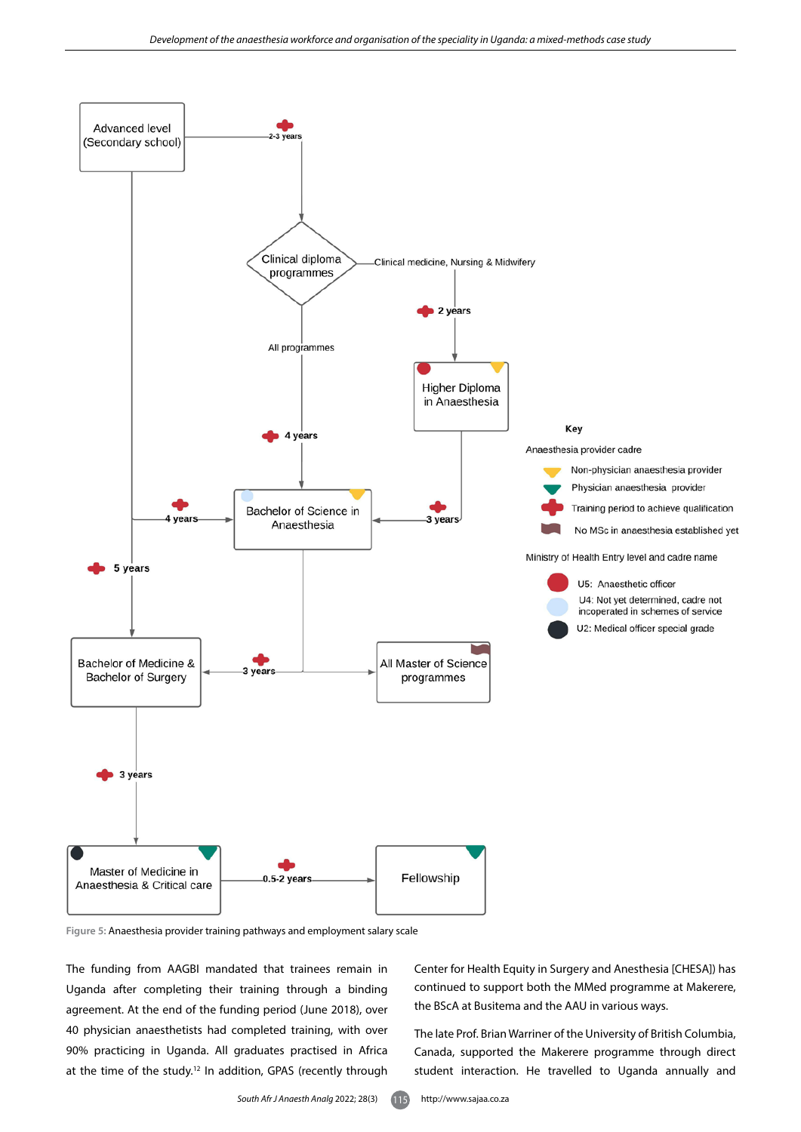

**Figure 5:** Anaesthesia provider training pathways and employment salary scale

The funding from AAGBI mandated that trainees remain in Uganda after completing their training through a binding agreement. At the end of the funding period (June 2018), over 40 physician anaesthetists had completed training, with over 90% practicing in Uganda. All graduates practised in Africa at the time of the study.<sup>12</sup> In addition, GPAS (recently through

Center for Health Equity in Surgery and Anesthesia [CHESA]) has continued to support both the MMed programme at Makerere, the BScA at Busitema and the AAU in various ways.

The late Prof. Brian Warriner of the University of British Columbia, Canada, supported the Makerere programme through direct student interaction. He travelled to Uganda annually and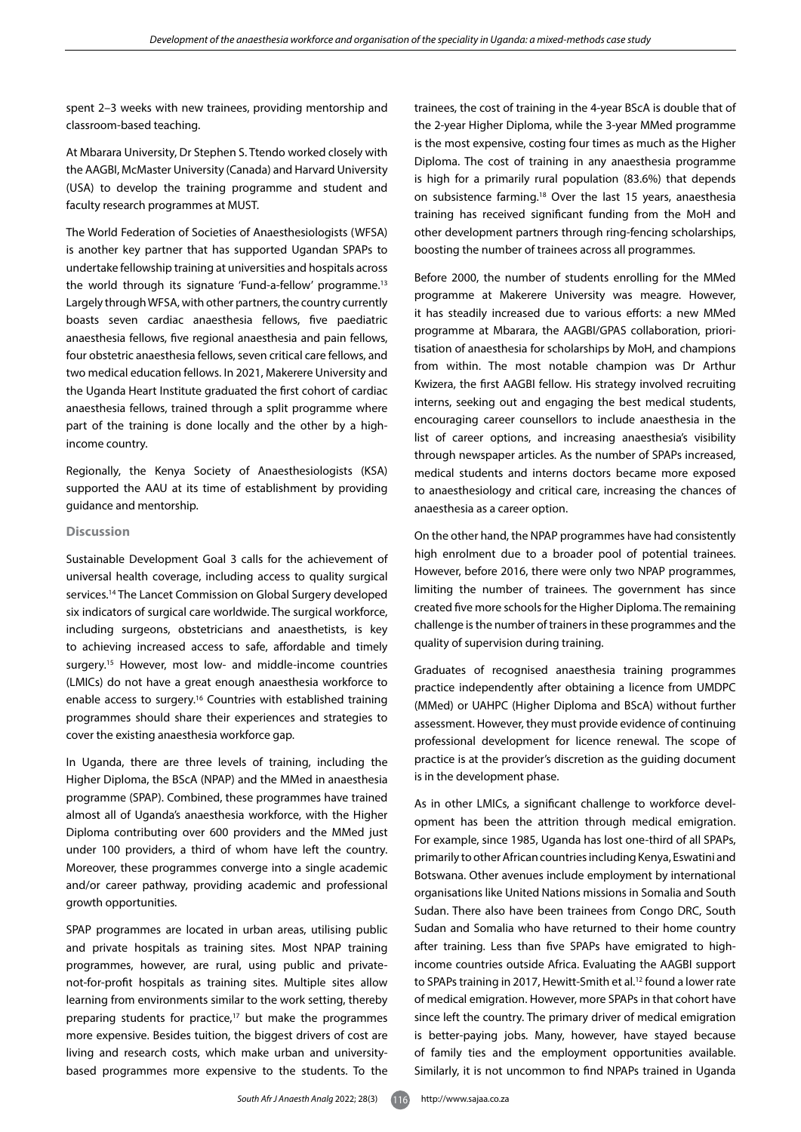spent 2–3 weeks with new trainees, providing mentorship and classroom-based teaching.

At Mbarara University, Dr Stephen S. Ttendo worked closely with the AAGBI, McMaster University (Canada) and Harvard University (USA) to develop the training programme and student and faculty research programmes at MUST.

The World Federation of Societies of Anaesthesiologists (WFSA) is another key partner that has supported Ugandan SPAPs to undertake fellowship training at universities and hospitals across the world through its signature 'Fund-a-fellow' programme.<sup>13</sup> Largely through WFSA, with other partners, the country currently boasts seven cardiac anaesthesia fellows, five paediatric anaesthesia fellows, five regional anaesthesia and pain fellows, four obstetric anaesthesia fellows, seven critical care fellows, and two medical education fellows. In 2021, Makerere University and the Uganda Heart Institute graduated the first cohort of cardiac anaesthesia fellows, trained through a split programme where part of the training is done locally and the other by a highincome country.

Regionally, the Kenya Society of Anaesthesiologists (KSA) supported the AAU at its time of establishment by providing guidance and mentorship.

# **Discussion**

Sustainable Development Goal 3 calls for the achievement of universal health coverage, including access to quality surgical services.14 The Lancet Commission on Global Surgery developed six indicators of surgical care worldwide. The surgical workforce, including surgeons, obstetricians and anaesthetists, is key to achieving increased access to safe, affordable and timely surgery.<sup>15</sup> However, most low- and middle-income countries (LMICs) do not have a great enough anaesthesia workforce to enable access to surgery.16 Countries with established training programmes should share their experiences and strategies to cover the existing anaesthesia workforce gap.

In Uganda, there are three levels of training, including the Higher Diploma, the BScA (NPAP) and the MMed in anaesthesia programme (SPAP). Combined, these programmes have trained almost all of Uganda's anaesthesia workforce, with the Higher Diploma contributing over 600 providers and the MMed just under 100 providers, a third of whom have left the country. Moreover, these programmes converge into a single academic and/or career pathway, providing academic and professional growth opportunities.

SPAP programmes are located in urban areas, utilising public and private hospitals as training sites. Most NPAP training programmes, however, are rural, using public and privatenot-for-profit hospitals as training sites. Multiple sites allow learning from environments similar to the work setting, thereby preparing students for practice,<sup>17</sup> but make the programmes more expensive. Besides tuition, the biggest drivers of cost are living and research costs, which make urban and universitybased programmes more expensive to the students. To the trainees, the cost of training in the 4-year BScA is double that of the 2-year Higher Diploma, while the 3-year MMed programme is the most expensive, costing four times as much as the Higher Diploma. The cost of training in any anaesthesia programme is high for a primarily rural population (83.6%) that depends on subsistence farming.18 Over the last 15 years, anaesthesia training has received significant funding from the MoH and other development partners through ring-fencing scholarships, boosting the number of trainees across all programmes.

Before 2000, the number of students enrolling for the MMed programme at Makerere University was meagre. However, it has steadily increased due to various efforts: a new MMed programme at Mbarara, the AAGBI/GPAS collaboration, prioritisation of anaesthesia for scholarships by MoH, and champions from within. The most notable champion was Dr Arthur Kwizera, the first AAGBI fellow. His strategy involved recruiting interns, seeking out and engaging the best medical students, encouraging career counsellors to include anaesthesia in the list of career options, and increasing anaesthesia's visibility through newspaper articles. As the number of SPAPs increased, medical students and interns doctors became more exposed to anaesthesiology and critical care, increasing the chances of anaesthesia as a career option.

On the other hand, the NPAP programmes have had consistently high enrolment due to a broader pool of potential trainees. However, before 2016, there were only two NPAP programmes, limiting the number of trainees. The government has since created five more schools for the Higher Diploma. The remaining challenge is the number of trainers in these programmes and the quality of supervision during training.

Graduates of recognised anaesthesia training programmes practice independently after obtaining a licence from UMDPC (MMed) or UAHPC (Higher Diploma and BScA) without further assessment. However, they must provide evidence of continuing professional development for licence renewal. The scope of practice is at the provider's discretion as the guiding document is in the development phase.

As in other LMICs, a significant challenge to workforce development has been the attrition through medical emigration. For example, since 1985, Uganda has lost one-third of all SPAPs, primarily to other African countries including Kenya, Eswatini and Botswana. Other avenues include employment by international organisations like United Nations missions in Somalia and South Sudan. There also have been trainees from Congo DRC, South Sudan and Somalia who have returned to their home country after training. Less than five SPAPs have emigrated to highincome countries outside Africa. Evaluating the AAGBI support to SPAPs training in 2017, Hewitt-Smith et al.<sup>12</sup> found a lower rate of medical emigration. However, more SPAPs in that cohort have since left the country. The primary driver of medical emigration is better-paying jobs. Many, however, have stayed because of family ties and the employment opportunities available. Similarly, it is not uncommon to find NPAPs trained in Uganda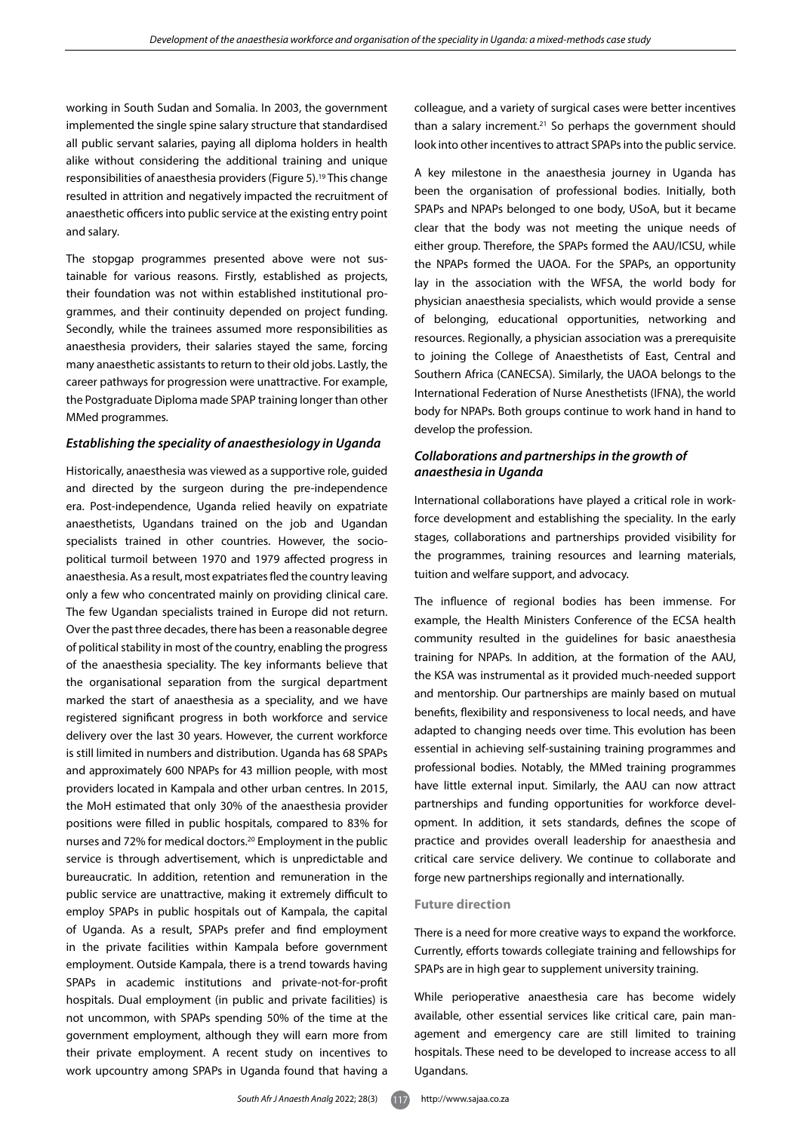working in South Sudan and Somalia. In 2003, the government implemented the single spine salary structure that standardised all public servant salaries, paying all diploma holders in health alike without considering the additional training and unique responsibilities of anaesthesia providers (Figure 5).19 This change resulted in attrition and negatively impacted the recruitment of anaesthetic officers into public service at the existing entry point and salary.

The stopgap programmes presented above were not sustainable for various reasons. Firstly, established as projects, their foundation was not within established institutional programmes, and their continuity depended on project funding. Secondly, while the trainees assumed more responsibilities as anaesthesia providers, their salaries stayed the same, forcing many anaesthetic assistants to return to their old jobs. Lastly, the career pathways for progression were unattractive. For example, the Postgraduate Diploma made SPAP training longer than other MMed programmes.

#### *Establishing the speciality of anaesthesiology in Uganda*

Historically, anaesthesia was viewed as a supportive role, guided and directed by the surgeon during the pre-independence era. Post-independence, Uganda relied heavily on expatriate anaesthetists, Ugandans trained on the job and Ugandan specialists trained in other countries. However, the sociopolitical turmoil between 1970 and 1979 affected progress in anaesthesia. As a result, most expatriates fled the country leaving only a few who concentrated mainly on providing clinical care. The few Ugandan specialists trained in Europe did not return. Over the past three decades, there has been a reasonable degree of political stability in most of the country, enabling the progress of the anaesthesia speciality. The key informants believe that the organisational separation from the surgical department marked the start of anaesthesia as a speciality, and we have registered significant progress in both workforce and service delivery over the last 30 years. However, the current workforce is still limited in numbers and distribution. Uganda has 68 SPAPs and approximately 600 NPAPs for 43 million people, with most providers located in Kampala and other urban centres. In 2015, the MoH estimated that only 30% of the anaesthesia provider positions were filled in public hospitals, compared to 83% for nurses and 72% for medical doctors.20 Employment in the public service is through advertisement, which is unpredictable and bureaucratic. In addition, retention and remuneration in the public service are unattractive, making it extremely difficult to employ SPAPs in public hospitals out of Kampala, the capital of Uganda. As a result, SPAPs prefer and find employment in the private facilities within Kampala before government employment. Outside Kampala, there is a trend towards having SPAPs in academic institutions and private-not-for-profit hospitals. Dual employment (in public and private facilities) is not uncommon, with SPAPs spending 50% of the time at the government employment, although they will earn more from their private employment. A recent study on incentives to work upcountry among SPAPs in Uganda found that having a

colleague, and a variety of surgical cases were better incentives than a salary increment. $21$  So perhaps the government should look into other incentives to attract SPAPs into the public service.

A key milestone in the anaesthesia journey in Uganda has been the organisation of professional bodies. Initially, both SPAPs and NPAPs belonged to one body, USoA, but it became clear that the body was not meeting the unique needs of either group. Therefore, the SPAPs formed the AAU/ICSU, while the NPAPs formed the UAOA. For the SPAPs, an opportunity lay in the association with the WFSA, the world body for physician anaesthesia specialists, which would provide a sense of belonging, educational opportunities, networking and resources. Regionally, a physician association was a prerequisite to joining the College of Anaesthetists of East, Central and Southern Africa (CANECSA). Similarly, the UAOA belongs to the International Federation of Nurse Anesthetists (IFNA), the world body for NPAPs. Both groups continue to work hand in hand to develop the profession.

# *Collaborations and partnerships in the growth of anaesthesia in Uganda*

International collaborations have played a critical role in workforce development and establishing the speciality. In the early stages, collaborations and partnerships provided visibility for the programmes, training resources and learning materials, tuition and welfare support, and advocacy.

The influence of regional bodies has been immense. For example, the Health Ministers Conference of the ECSA health community resulted in the guidelines for basic anaesthesia training for NPAPs. In addition, at the formation of the AAU, the KSA was instrumental as it provided much-needed support and mentorship. Our partnerships are mainly based on mutual benefits, flexibility and responsiveness to local needs, and have adapted to changing needs over time. This evolution has been essential in achieving self-sustaining training programmes and professional bodies. Notably, the MMed training programmes have little external input. Similarly, the AAU can now attract partnerships and funding opportunities for workforce development. In addition, it sets standards, defines the scope of practice and provides overall leadership for anaesthesia and critical care service delivery. We continue to collaborate and forge new partnerships regionally and internationally.

# **Future direction**

There is a need for more creative ways to expand the workforce. Currently, efforts towards collegiate training and fellowships for SPAPs are in high gear to supplement university training.

While perioperative anaesthesia care has become widely available, other essential services like critical care, pain management and emergency care are still limited to training hospitals. These need to be developed to increase access to all Ugandans.